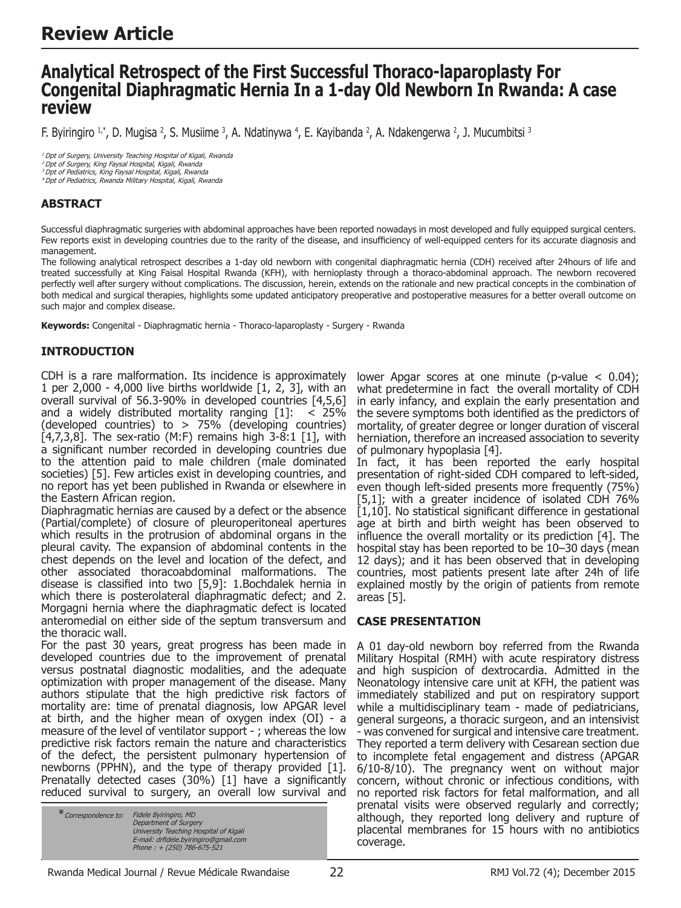# **Analytical Retrospect of the First Successful Thoraco-laparoplasty For Congenital Diaphragmatic Hernia In a 1-day Old Newborn In Rwanda: A case review**

F. Byiringiro 1,\*, D. Mugisa 4, S. Musiime 3, A. Ndatinywa 4, E. Kayibanda 4, A. Ndakengerwa 4, J. Mucumbitsi 3

<sup>1</sup> Dpt of Surgery, University Teaching Hospital of Kigali, Rwanda<br><sup>2</sup> Dpt of Surgery, King Faysal Hospital, Kigali, Rwanda

<sup>3</sup>Dpt of Pediatrics, King Faysal Hospital, Kigali, Rwanda <sup>4</sup>Dpt of Pediatrics, Rwanda Military Hospital, Kigali, Rwanda

# **ABSTRACT**

Successful diaphragmatic surgeries with abdominal approaches have been reported nowadays in most developed and fully equipped surgical centers. Few reports exist in developing countries due to the rarity of the disease, and insufficiency of well-equipped centers for its accurate diagnosis and management.

The following analytical retrospect describes a 1-day old newborn with congenital diaphragmatic hernia (CDH) received after 24hours of life and treated successfully at King Faisal Hospital Rwanda (KFH), with hernioplasty through a thoraco-abdominal approach. The newborn recovered perfectly well after surgery without complications. The discussion, herein, extends on the rationale and new practical concepts in the combination of both medical and surgical therapies, highlights some updated anticipatory preoperative and postoperative measures for a better overall outcome on such major and complex disease.

**Keywords:** Congenital - Diaphragmatic hernia - Thoraco-laparoplasty - Surgery - Rwanda

## **INTRODUCTION**

CDH is a rare malformation. Its incidence is approximately 1 per 2,000 - 4,000 live births worldwide [1, 2, 3], with an overall survival of 56.3-90% in developed countries [4,5,6] and a widely distributed mortality ranging  $[1]: < 25\%$ (developed countries) to  $> 75\%$  (developing countries)  $[4,7,3,8]$ . The sex-ratio (M:F) remains high  $3-8:1$  [1], with a significant number recorded in developing countries due to the attention paid to male children (male dominated societies) [5]. Few articles exist in developing countries, and no report has yet been published in Rwanda or elsewhere in the Eastern African region.

Diaphragmatic hernias are caused by a defect or the absence (Partial/complete) of closure of pleuroperitoneal apertures which results in the protrusion of abdominal organs in the pleural cavity. The expansion of abdominal contents in the chest depends on the level and location of the defect, and other associated thoracoabdominal malformations. The disease is classified into two [5,9]: 1.Bochdalek hernia in which there is posterolateral diaphragmatic defect; and 2. Morgagni hernia where the diaphragmatic defect is located anteromedial on either side of the septum transversum and the thoracic wall.

For the past 30 years, great progress has been made in developed countries due to the improvement of prenatal versus postnatal diagnostic modalities, and the adequate optimization with proper management of the disease. Many authors stipulate that the high predictive risk factors of mortality are: time of prenatal diagnosis, low APGAR level at birth, and the higher mean of oxygen index (OI) - a measure of the level of ventilator support - ; whereas the low predictive risk factors remain the nature and characteristics of the defect, the persistent pulmonary hypertension of newborns (PPHN), and the type of therapy provided [1]. Prenatally detected cases (30%) [1] have a significantly reduced survival to surgery, an overall low survival and

| * Correspondence to: | Fidele Byiringiro, MD<br>Department of Surgery |
|----------------------|------------------------------------------------|
|                      | University Teaching Hospital of Kigali         |
|                      | E-mail: drfidele.bviringiro@amail.com          |
|                      | Phone: $+(250)$ 786-675-521                    |

lower Apgar scores at one minute (p-value  $< 0.04$ ); what predetermine in fact the overall mortality of CDH in early infancy, and explain the early presentation and the severe symptoms both identified as the predictors of mortality, of greater degree or longer duration of visceral herniation, therefore an increased association to severity of pulmonary hypoplasia [4].

In fact, it has been reported the early hospital presentation of right-sided CDH compared to left-sided, even though left-sided presents more frequently (75%) [5,1]; with a greater incidence of isolated CDH 76%  $[1,10]$ . No statistical significant difference in gestational age at birth and birth weight has been observed to influence the overall mortality or its prediction [4]. The hospital stay has been reported to be 10–30 days (mean 12 days); and it has been observed that in developing countries, most patients present late after 24h of life explained mostly by the origin of patients from remote areas [5].

### **CASE PRESENTATION**

A 01 day-old newborn boy referred from the Rwanda Military Hospital (RMH) with acute respiratory distress and high suspicion of dextrocardia. Admitted in the Neonatology intensive care unit at KFH, the patient was immediately stabilized and put on respiratory support while a multidisciplinary team - made of pediatricians, general surgeons, a thoracic surgeon, and an intensivist - was convened for surgical and intensive care treatment. They reported a term delivery with Cesarean section due to incomplete fetal engagement and distress (APGAR 6/10-8/10). The pregnancy went on without major concern, without chronic or infectious conditions, with no reported risk factors for fetal malformation, and all prenatal visits were observed regularly and correctly; although, they reported long delivery and rupture of placental membranes for 15 hours with no antibiotics coverage.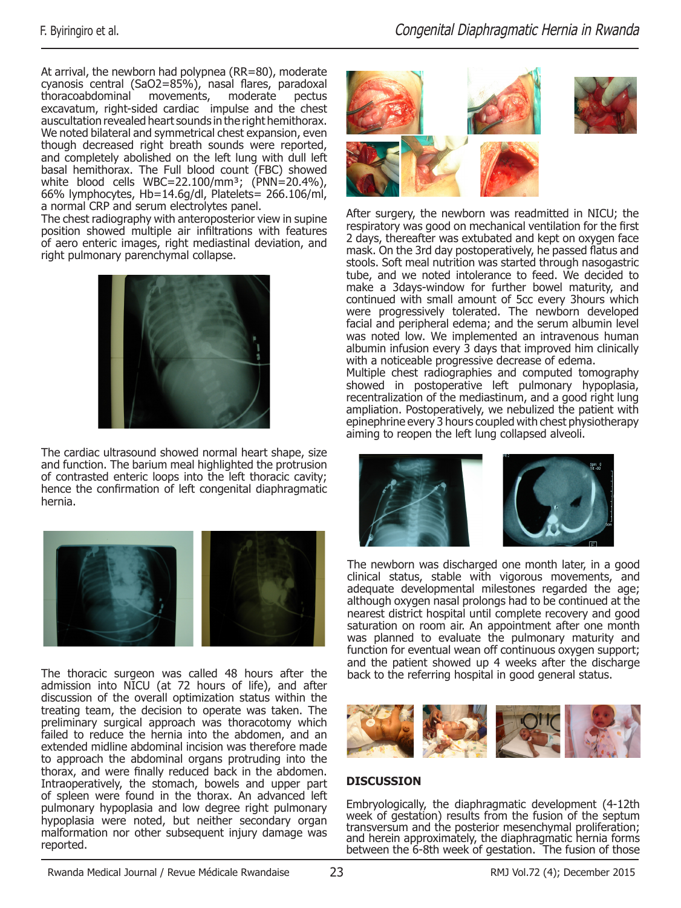At arrival, the newborn had polypnea (RR=80), moderate cyanosis central (SaO2=85%), nasal flares, paradoxal thoracoabdominal movements, moderate pectus excavatum, right-sided cardiac impulse and the chest auscultation revealed heart sounds in the right hemithorax. We noted bilateral and symmetrical chest expansion, even though decreased right breath sounds were reported, and completely abolished on the left lung with dull left basal hemithorax. The Full blood count (FBC) showed white blood cells WBC=22.100/mm<sup>3</sup>; (PNN=20.4%), 66% lymphocytes, Hb=14.6g/dl, Platelets= 266.106/ml, a normal CRP and serum electrolytes panel.

The chest radiography with anteroposterior view in supine position showed multiple air infiltrations with features of aero enteric images, right mediastinal deviation, and right pulmonary parenchymal collapse.



The cardiac ultrasound showed normal heart shape, size and function. The barium meal highlighted the protrusion of contrasted enteric loops into the left thoracic cavity; hence the confirmation of left congenital diaphragmatic hernia.



The thoracic surgeon was called 48 hours after the admission into NICU (at 72 hours of life), and after discussion of the overall optimization status within the treating team, the decision to operate was taken. The preliminary surgical approach was thoracotomy which failed to reduce the hernia into the abdomen, and an extended midline abdominal incision was therefore made to approach the abdominal organs protruding into the thorax, and were finally reduced back in the abdomen. Intraoperatively, the stomach, bowels and upper part of spleen were found in the thorax. An advanced left pulmonary hypoplasia and low degree right pulmonary hypoplasia were noted, but neither secondary organ malformation nor other subsequent injury damage was reported.



After surgery, the newborn was readmitted in NICU; the respiratory was good on mechanical ventilation for the first 2 days, thereafter was extubated and kept on oxygen face mask. On the 3rd day postoperatively, he passed flatus and stools. Soft meal nutrition was started through nasogastric tube, and we noted intolerance to feed. We decided to make a 3days-window for further bowel maturity, and continued with small amount of 5cc every 3hours which were progressively tolerated. The newborn developed facial and peripheral edema; and the serum albumin level was noted low. We implemented an intravenous human albumin infusion every 3 days that improved him clinically with a noticeable progressive decrease of edema.

Multiple chest radiographies and computed tomography showed in postoperative left pulmonary hypoplasia, recentralization of the mediastinum, and a good right lung ampliation. Postoperatively, we nebulized the patient with epinephrine every 3 hours coupled with chest physiotherapy aiming to reopen the left lung collapsed alveoli.





The newborn was discharged one month later, in a good clinical status, stable with vigorous movements, and adequate developmental milestones regarded the age; although oxygen nasal prolongs had to be continued at the nearest district hospital until complete recovery and good saturation on room air. An appointment after one month was planned to evaluate the pulmonary maturity and function for eventual wean off continuous oxygen support; and the patient showed up 4 weeks after the discharge back to the referring hospital in good general status.



### **DISCUSSION**

Embryologically, the diaphragmatic development (4-12th week of gestation) results from the fusion of the septum transversum and the posterior mesenchymal proliferation; and herein approximately, the diaphragmatic hernia forms between the 6-8th week of gestation. The fusion of those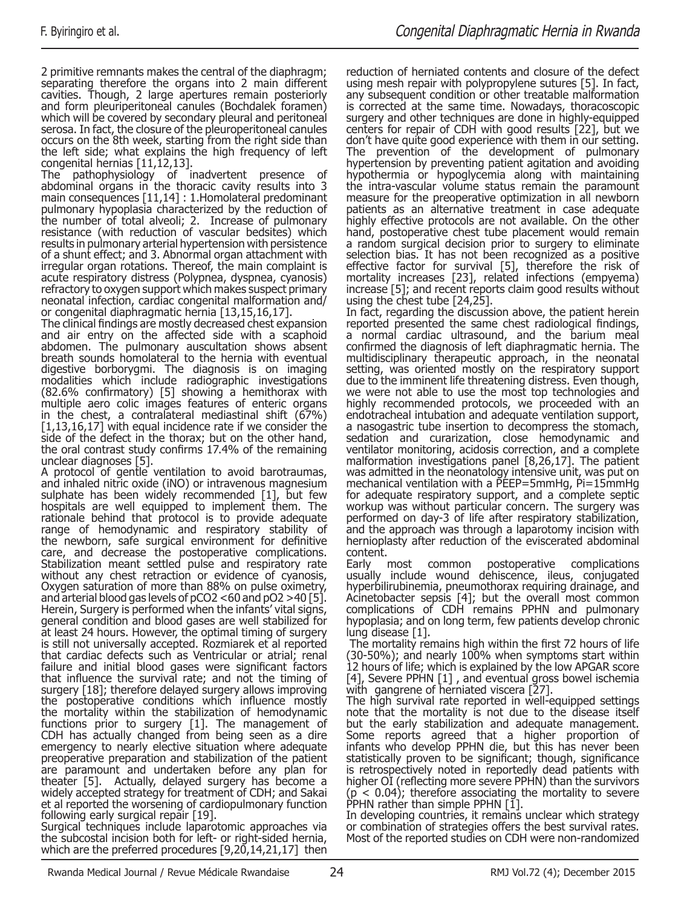2 primitive remnants makes the central of the diaphragm; separating therefore the organs into 2 main different cavities. Though, 2 large apertures remain posteriorly and form pleuriperitoneal canules (Bochdalek foramen) which will be covered by secondary pleural and peritoneal serosa. In fact, the closure of the pleuroperitoneal canules occurs on the 8th week, starting from the right side than the left side; what explains the high frequency of left congenital hernias [11,12,13].

The pathophysiology of inadvertent presence of abdominal organs in the thoracic cavity results into 3 main consequences [11,14] : 1.Homolateral predominant pulmonary hypoplasia characterized by the reduction of the number of total alveoli; 2. Increase of pulmonary resistance (with reduction of vascular bedsites) which results in pulmonary arterial hypertension with persistence of a shunt effect; and 3. Abnormal organ attachment with irregular organ rotations. Thereof, the main complaint is acute respiratory distress (Polypnea, dyspnea, cyanosis) refractory to oxygen support which makes suspect primary neonatal infection, cardiac congenital malformation and/ or congenital diaphragmatic hernia [13,15,16,17].

The clinical findings are mostly decreased chest expansion and air entry on the affected side with a scaphoid abdomen. The pulmonary auscultation shows absent breath sounds homolateral to the hernia with eventual digestive borborygmi. The diagnosis is on imaging modalities which include radiographic investigations (82.6% confirmatory) [5] showing a hemithorax with multiple aero colic images features of enteric organs in the chest, a contralateral mediastinal shift (67%) [1,13,16,17] with equal incidence rate if we consider the side of the defect in the thorax; but on the other hand, the oral contrast study confirms 17.4% of the remaining unclear diagnoses [5].

A protocol of gentle ventilation to avoid barotraumas, and inhaled nitric oxide (iNO) or intravenous magnesium sulphate has been widely recommended [1], but few hospitals are well equipped to implement them. The rationale behind that protocol is to provide adequate range of hemodynamic and respiratory stability of the newborn, safe surgical environment for definitive care, and decrease the postoperative complications. Stabilization meant settled pulse and respiratory rate without any chest retraction or evidence of cyanosis, Oxygen saturation of more than 88% on pulse oximetry, and arterial blood gas levels of pCO2 <60 and pO2 >40 [5]. Herein, Surgery is performed when the infants' vital signs, general condition and blood gases are well stabilized for at least 24 hours. However, the optimal timing of surgery is still not universally accepted. Rozmiarek et al reported that cardiac defects such as Ventricular or atrial; renal failure and initial blood gases were significant factors that influence the survival rate; and not the timing of surgery [18]; therefore delayed surgery allows improving the postoperative conditions which influence mostly the mortality within the stabilization of hemodynamic functions prior to surgery [1]. The management of CDH has actually changed from being seen as a dire emergency to nearly elective situation where adequate preoperative preparation and stabilization of the patient are paramount and undertaken before any plan for theater [5]. Actually, delayed surgery has become a widely accepted strategy for treatment of CDH; and Sakai et al reported the worsening of cardiopulmonary function following early surgical repair [19].

Surgical techniques include laparotomic approaches via the subcostal incision both for left- or right-sided hernia, which are the preferred procedures [9,20,14,21,17] then reduction of herniated contents and closure of the defect using mesh repair with polypropylene sutures [5]. In fact, any subsequent condition or other treatable malformation is corrected at the same time. Nowadays, thoracoscopic surgery and other techniques are done in highly-equipped centers for repair of CDH with good results [22], but we don't have quite good experience with them in our setting. The prevention of the development of pulmonary hypertension by preventing patient agitation and avoiding hypothermia or hypoglycemia along with maintaining the intra-vascular volume status remain the paramount measure for the preoperative optimization in all newborn patients as an alternative treatment in case adequate highly effective protocols are not available. On the other hand, postoperative chest tube placement would remain a random surgical decision prior to surgery to eliminate selection bias. It has not been recognized as a positive effective factor for survival [5], therefore the risk of mortality increases [23], related infections (empyema) increase [5]; and recent reports claim good results without using the chest tube [24,25].

In fact, regarding the discussion above, the patient herein reported presented the same chest radiological findings, a normal cardiac ultrasound, and the barium meal confirmed the diagnosis of left diaphragmatic hernia. The multidisciplinary therapeutic approach, in the neonatal setting, was oriented mostly on the respiratory support due to the imminent life threatening distress. Even though, we were not able to use the most top technologies and highly recommended protocols, we proceeded with an endotracheal intubation and adequate ventilation support, a nasogastric tube insertion to decompress the stomach, sedation and curarization, close hemodynamic and ventilator monitoring, acidosis correction, and a complete malformation investigations panel [8,26,17]. The patient was admitted in the neonatology intensive unit, was put on mechanical ventilation with a PEEP=5mmHg, Pi=15mmHg for adequate respiratory support, and a complete septic workup was without particular concern. The surgery was performed on day-3 of life after respiratory stabilization, and the approach was through a laparotomy incision with hernioplasty after reduction of the eviscerated abdominal content.

Early most common postoperative complications usually include wound dehiscence, ileus, conjugated hyperbilirubinemia, pneumothorax requiring drainage, and Acinetobacter sepsis [4]; but the overall most common complications of CDH remains PPHN and pulmonary hypoplasia; and on long term, few patients develop chronic lung disease [1].

 The mortality remains high within the first 72 hours of life (30-50%); and nearly 100% when symptoms start within 12 hours of life; which is explained by the low APGAR score [4], Severe PPHN [1] , and eventual gross bowel ischemia with gangrene of herniated viscera [27].

The high survival rate reported in well-equipped settings note that the mortality is not due to the disease itself but the early stabilization and adequate management. Some reports agreed that a higher proportion of infants who develop PPHN die, but this has never been statistically proven to be significant; though, significance is retrospectively noted in reportedly dead patients with higher OI (reflecting more severe PPHN) than the survivors  $(p < 0.04)$ ; therefore associating the mortality to severe PPHN rather than simple PPHN [1].

In developing countries, it remains unclear which strategy or combination of strategies offers the best survival rates. Most of the reported studies on CDH were non-randomized